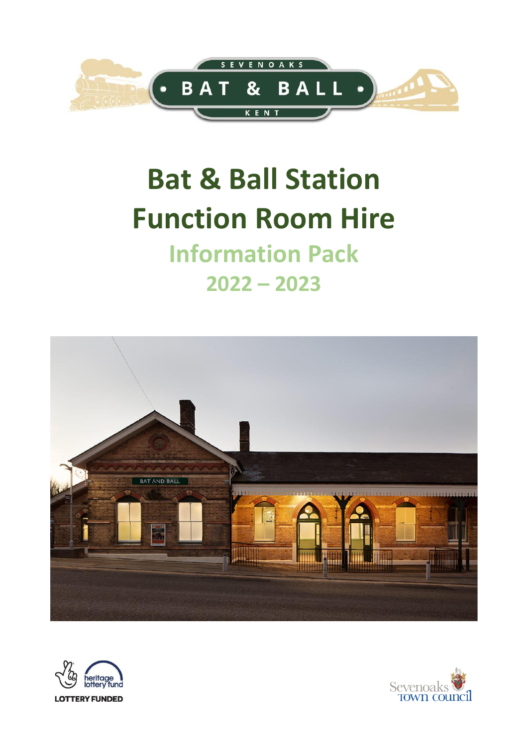

## **Bat & Ball Station Function Room Hire Information Pack**

# **2022 – 2023**





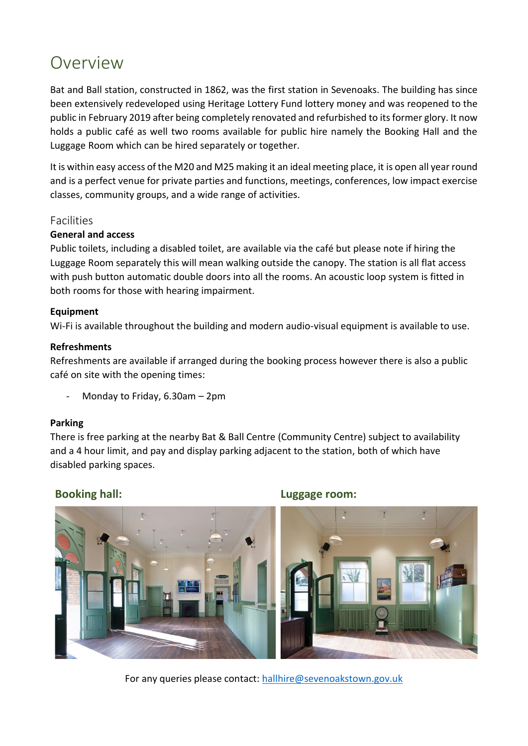## Overview

Bat and Ball station, constructed in 1862, was the first station in Sevenoaks. The building has since been extensively redeveloped using Heritage Lottery Fund lottery money and was reopened to the public in February 2019 after being completely renovated and refurbished to its former glory. It now holds a public café as well two rooms available for public hire namely the Booking Hall and the Luggage Room which can be hired separately or together.

It is within easy access of the M20 and M25 making it an ideal meeting place, it is open all year round and is a perfect venue for private parties and functions, meetings, conferences, low impact exercise classes, community groups, and a wide range of activities.

#### Facilities

#### **General and access**

Public toilets, including a disabled toilet, are available via the café but please note if hiring the Luggage Room separately this will mean walking outside the canopy. The station is all flat access with push button automatic double doors into all the rooms. An acoustic loop system is fitted in both rooms for those with hearing impairment.

#### **Equipment**

Wi-Fi is available throughout the building and modern audio-visual equipment is available to use.

#### **Refreshments**

Refreshments are available if arranged during the booking process however there is also a public café on site with the opening times:

Monday to Friday,  $6.30$ am – 2pm

#### **Parking**

There is free parking at the nearby Bat & Ball Centre (Community Centre) subject to availability and a 4 hour limit, and pay and display parking adjacent to the station, both of which have disabled parking spaces.



For any queries please contact: [hallhire@sevenoakstown.gov.uk](mailto:hallhire@sevenoakstown.gov.uk)

#### **Booking hall: Luggage room:**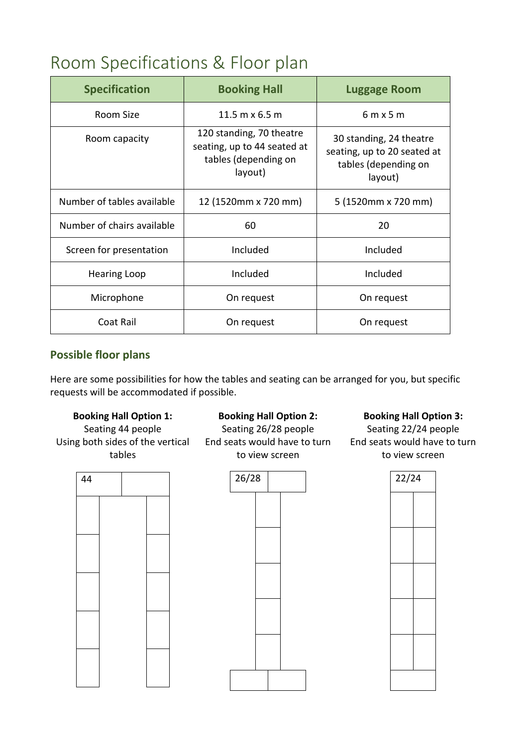## Room Specifications & Floor plan

| <b>Specification</b>       | <b>Booking Hall</b>                                                                        | <b>Luggage Room</b>                                                                       |
|----------------------------|--------------------------------------------------------------------------------------------|-------------------------------------------------------------------------------------------|
| Room Size                  | 11.5 m $\times$ 6.5 m                                                                      | $6m \times 5m$                                                                            |
| Room capacity              | 120 standing, 70 theatre<br>seating, up to 44 seated at<br>tables (depending on<br>layout) | 30 standing, 24 theatre<br>seating, up to 20 seated at<br>tables (depending on<br>layout) |
| Number of tables available | 12 (1520mm x 720 mm)                                                                       | 5 (1520mm x 720 mm)                                                                       |
| Number of chairs available | 60                                                                                         | 20                                                                                        |
| Screen for presentation    | Included                                                                                   | Included                                                                                  |
| <b>Hearing Loop</b>        | Included                                                                                   | Included                                                                                  |
| Microphone                 | On request                                                                                 | On request                                                                                |
| Coat Rail                  | On request                                                                                 | On request                                                                                |

#### **Possible floor plans**

Here are some possibilities for how the tables and seating can be arranged for you, but specific requests will be accommodated if possible.

#### **Booking Hall Option 1:**

Seating 44 people Using both sides of the vertical tables



#### **Booking Hall Option 2:**

Seating 26/28 people End seats would have to turn to view screen



**Booking Hall Option 3:**

Seating 22/24 people End seats would have to turn to view screen

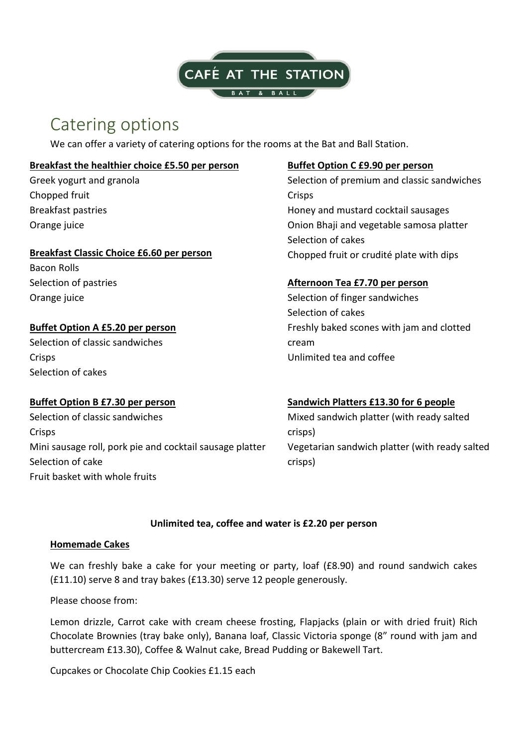

## Catering options

We can offer a variety of catering options for the rooms at the Bat and Ball Station.

#### **Breakfast the healthier choice £5.50 per person**

Greek yogurt and granola Chopped fruit Breakfast pastries Orange juice

#### **Breakfast Classic Choice £6.60 per person** Chopped fruit or crudité plate with dips

Bacon Rolls Selection of pastries Orange juice

#### **Buffet Option A £5.20 per person**

Selection of classic sandwiches **Crisps** Selection of cakes

#### **Buffet Option C £9.90 per person**

Selection of premium and classic sandwiches **Crisps** Honey and mustard cocktail sausages Onion Bhaji and vegetable samosa platter Selection of cakes

#### **Afternoon Tea £7.70 per person**

Selection of finger sandwiches Selection of cakes Freshly baked scones with jam and clotted cream Unlimited tea and coffee

#### **Buffet Option B £7.30 per person**

Selection of classic sandwiches **Crisps** Mini sausage roll, pork pie and cocktail sausage platter Selection of cake Fruit basket with whole fruits

**Sandwich Platters £13.30 for 6 people** Mixed sandwich platter (with ready salted crisps) Vegetarian sandwich platter (with ready salted

#### **Unlimited tea, coffee and water is £2.20 per person**

crisps)

#### **Homemade Cakes**

We can freshly bake a cake for your meeting or party, loaf (£8.90) and round sandwich cakes (£11.10) serve 8 and tray bakes (£13.30) serve 12 people generously.

Please choose from:

Lemon drizzle, Carrot cake with cream cheese frosting, Flapjacks (plain or with dried fruit) Rich Chocolate Brownies (tray bake only), Banana loaf, Classic Victoria sponge (8" round with jam and buttercream £13.30), Coffee & Walnut cake, Bread Pudding or Bakewell Tart.

Cupcakes or Chocolate Chip Cookies £1.15 each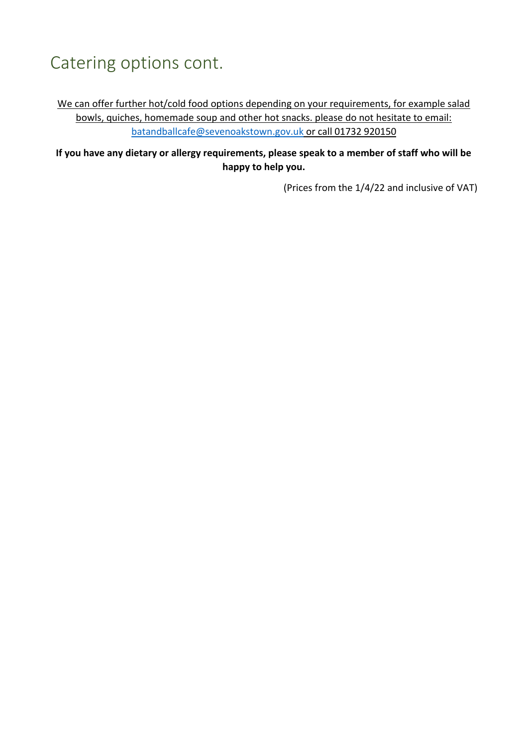## Catering options cont.

We can offer further hot/cold food options depending on your requirements, for example salad bowls, quiches, homemade soup and other hot snacks. please do not hesitate to email: [batandballcafe@sevenoakstown.gov.uk](mailto:batandballcafe@sevenoakstown.gov.uk) or call 01732 920150

**If you have any dietary or allergy requirements, please speak to a member of staff who will be happy to help you.** 

(Prices from the 1/4/22 and inclusive of VAT)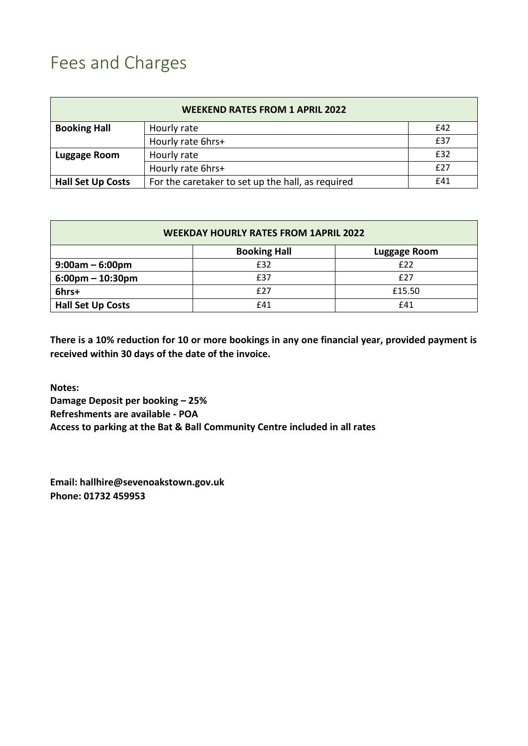## Fees and Charges

| <b>WEEKEND RATES FROM 1 APRIL 2022</b> |                                                   |     |  |  |
|----------------------------------------|---------------------------------------------------|-----|--|--|
| <b>Booking Hall</b>                    | Hourly rate                                       | £42 |  |  |
|                                        | Hourly rate 6hrs+                                 | £37 |  |  |
| Luggage Room                           | Hourly rate                                       | £32 |  |  |
|                                        | Hourly rate 6hrs+                                 | £27 |  |  |
| <b>Hall Set Up Costs</b>               | For the caretaker to set up the hall, as required | £41 |  |  |

| <b>WEEKDAY HOURLY RATES FROM 1APRIL 2022</b> |                     |                     |  |  |
|----------------------------------------------|---------------------|---------------------|--|--|
|                                              | <b>Booking Hall</b> | <b>Luggage Room</b> |  |  |
| $9:00am - 6:00pm$                            | £32                 | £22                 |  |  |
| $6:00 \text{pm} - 10:30 \text{pm}$           | £37                 | £27                 |  |  |
| 6hrs+                                        | £27                 | £15.50              |  |  |
| <b>Hall Set Up Costs</b>                     | £41                 | £41                 |  |  |

**There is a 10% reduction for 10 or more bookings in any one financial year, provided payment is received within 30 days of the date of the invoice.** 

**Notes: Damage Deposit per booking – 25% Refreshments are available - POA Access to parking at the Bat & Ball Community Centre included in all rates**

**Email: hallhire@sevenoakstown.gov.uk Phone: 01732 459953**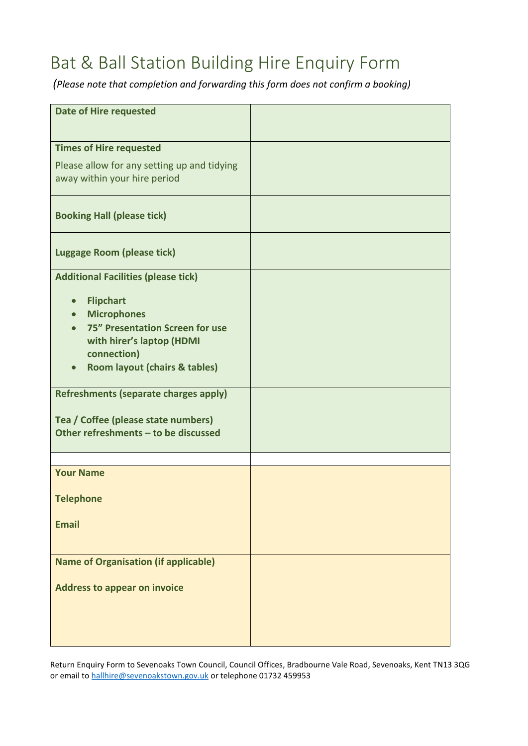## Bat & Ball Station Building Hire Enquiry Form

*(Please note that completion and forwarding this form does not confirm a booking)*

| <b>Date of Hire requested</b>                         |  |
|-------------------------------------------------------|--|
|                                                       |  |
|                                                       |  |
| <b>Times of Hire requested</b>                        |  |
| Please allow for any setting up and tidying           |  |
| away within your hire period                          |  |
|                                                       |  |
|                                                       |  |
| <b>Booking Hall (please tick)</b>                     |  |
|                                                       |  |
|                                                       |  |
| <b>Luggage Room (please tick)</b>                     |  |
| <b>Additional Facilities (please tick)</b>            |  |
|                                                       |  |
| <b>Flipchart</b>                                      |  |
| <b>Microphones</b>                                    |  |
| 75" Presentation Screen for use                       |  |
| with hirer's laptop (HDMI                             |  |
| connection)                                           |  |
| <b>Room layout (chairs &amp; tables)</b><br>$\bullet$ |  |
|                                                       |  |
| <b>Refreshments (separate charges apply)</b>          |  |
|                                                       |  |
| Tea / Coffee (please state numbers)                   |  |
| Other refreshments - to be discussed                  |  |
|                                                       |  |
| <b>Your Name</b>                                      |  |
|                                                       |  |
| <b>Telephone</b>                                      |  |
|                                                       |  |
| <b>Email</b>                                          |  |
|                                                       |  |
|                                                       |  |
| <b>Name of Organisation (if applicable)</b>           |  |
|                                                       |  |
| <b>Address to appear on invoice</b>                   |  |
|                                                       |  |
|                                                       |  |
|                                                       |  |
|                                                       |  |

Return Enquiry Form to Sevenoaks Town Council, Council Offices, Bradbourne Vale Road, Sevenoaks, Kent TN13 3QG or email to [hallhire@sevenoakstown.gov.uk](mailto:hallhire@sevenoakstown.gov.uk) or telephone 01732 459953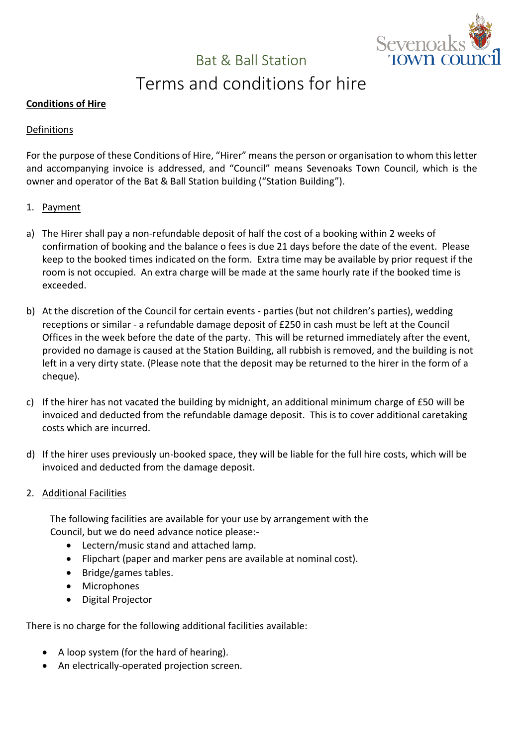

## Bat & Ball Station

## Terms and conditions for hire

#### **Conditions of Hire**

#### Definitions

For the purpose of these Conditions of Hire, "Hirer" means the person or organisation to whom this letter and accompanying invoice is addressed, and "Council" means Sevenoaks Town Council, which is the owner and operator of the Bat & Ball Station building ("Station Building").

- 1. Payment
- a) The Hirer shall pay a non-refundable deposit of half the cost of a booking within 2 weeks of confirmation of booking and the balance o fees is due 21 days before the date of the event. Please keep to the booked times indicated on the form. Extra time may be available by prior request if the room is not occupied. An extra charge will be made at the same hourly rate if the booked time is exceeded.
- b) At the discretion of the Council for certain events parties (but not children's parties), wedding receptions or similar - a refundable damage deposit of £250 in cash must be left at the Council Offices in the week before the date of the party. This will be returned immediately after the event, provided no damage is caused at the Station Building, all rubbish is removed, and the building is not left in a very dirty state. (Please note that the deposit may be returned to the hirer in the form of a cheque).
- c) If the hirer has not vacated the building by midnight, an additional minimum charge of £50 will be invoiced and deducted from the refundable damage deposit. This is to cover additional caretaking costs which are incurred.
- d) If the hirer uses previously un-booked space, they will be liable for the full hire costs, which will be invoiced and deducted from the damage deposit.
- 2. Additional Facilities

The following facilities are available for your use by arrangement with the Council, but we do need advance notice please:-

- Lectern/music stand and attached lamp.
- Flipchart (paper and marker pens are available at nominal cost).
- Bridge/games tables.
- Microphones
- Digital Projector

There is no charge for the following additional facilities available:

- A loop system (for the hard of hearing).
- An electrically-operated projection screen.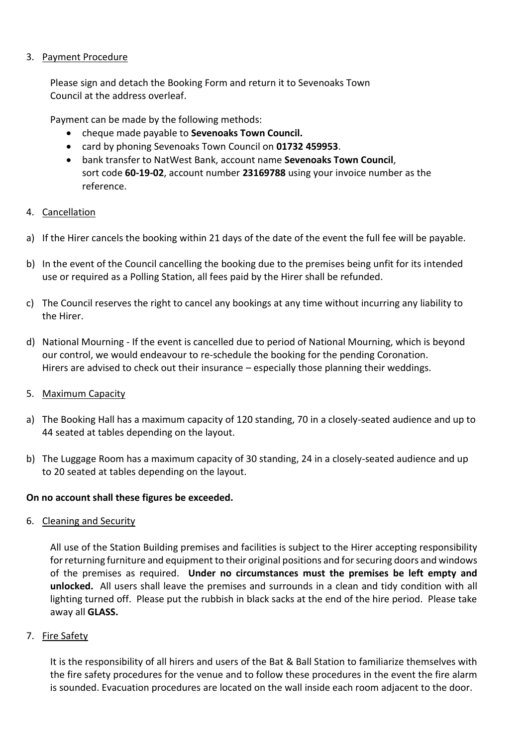#### 3. Payment Procedure

Please sign and detach the Booking Form and return it to Sevenoaks Town Council at the address overleaf.

Payment can be made by the following methods:

- cheque made payable to **Sevenoaks Town Council.**
- card by phoning Sevenoaks Town Council on **01732 459953**.
- bank transfer to NatWest Bank, account name **Sevenoaks Town Council**, sort code **60-19-02**, account number **23169788** using your invoice number as the reference.

#### 4. Cancellation

- a) If the Hirer cancels the booking within 21 days of the date of the event the full fee will be payable.
- b) In the event of the Council cancelling the booking due to the premises being unfit for its intended use or required as a Polling Station, all fees paid by the Hirer shall be refunded.
- c) The Council reserves the right to cancel any bookings at any time without incurring any liability to the Hirer.
- d) National Mourning If the event is cancelled due to period of National Mourning, which is beyond our control, we would endeavour to re-schedule the booking for the pending Coronation. Hirers are advised to check out their insurance – especially those planning their weddings.
- 5. Maximum Capacity
- a) The Booking Hall has a maximum capacity of 120 standing, 70 in a closely-seated audience and up to 44 seated at tables depending on the layout.
- b) The Luggage Room has a maximum capacity of 30 standing, 24 in a closely-seated audience and up to 20 seated at tables depending on the layout.

#### **On no account shall these figures be exceeded.**

6. Cleaning and Security

All use of the Station Building premises and facilities is subject to the Hirer accepting responsibility for returning furniture and equipment to their original positions and for securing doors and windows of the premises as required. **Under no circumstances must the premises be left empty and unlocked.** All users shall leave the premises and surrounds in a clean and tidy condition with all lighting turned off. Please put the rubbish in black sacks at the end of the hire period. Please take away all **GLASS.**

#### 7. Fire Safety

It is the responsibility of all hirers and users of the Bat & Ball Station to familiarize themselves with the fire safety procedures for the venue and to follow these procedures in the event the fire alarm is sounded. Evacuation procedures are located on the wall inside each room adjacent to the door.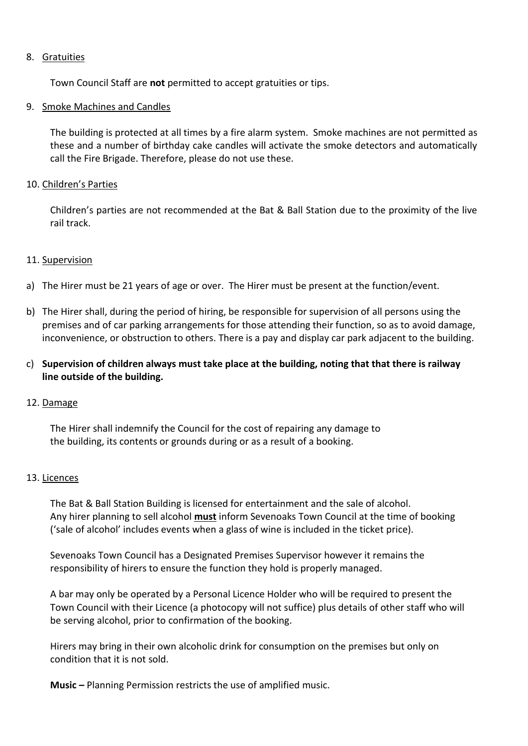#### 8. Gratuities

Town Council Staff are **not** permitted to accept gratuities or tips.

#### 9. Smoke Machines and Candles

The building is protected at all times by a fire alarm system. Smoke machines are not permitted as these and a number of birthday cake candles will activate the smoke detectors and automatically call the Fire Brigade. Therefore, please do not use these.

#### 10. Children's Parties

Children's parties are not recommended at the Bat & Ball Station due to the proximity of the live rail track.

#### 11. Supervision

- a) The Hirer must be 21 years of age or over. The Hirer must be present at the function/event.
- b) The Hirer shall, during the period of hiring, be responsible for supervision of all persons using the premises and of car parking arrangements for those attending their function, so as to avoid damage, inconvenience, or obstruction to others. There is a pay and display car park adjacent to the building.
- c) **Supervision of children always must take place at the building, noting that that there is railway line outside of the building.**

#### 12. Damage

The Hirer shall indemnify the Council for the cost of repairing any damage to the building, its contents or grounds during or as a result of a booking.

#### 13. Licences

The Bat & Ball Station Building is licensed for entertainment and the sale of alcohol. Any hirer planning to sell alcohol **must** inform Sevenoaks Town Council at the time of booking ('sale of alcohol' includes events when a glass of wine is included in the ticket price).

Sevenoaks Town Council has a Designated Premises Supervisor however it remains the responsibility of hirers to ensure the function they hold is properly managed.

A bar may only be operated by a Personal Licence Holder who will be required to present the Town Council with their Licence (a photocopy will not suffice) plus details of other staff who will be serving alcohol, prior to confirmation of the booking.

Hirers may bring in their own alcoholic drink for consumption on the premises but only on condition that it is not sold.

**Music –** Planning Permission restricts the use of amplified music.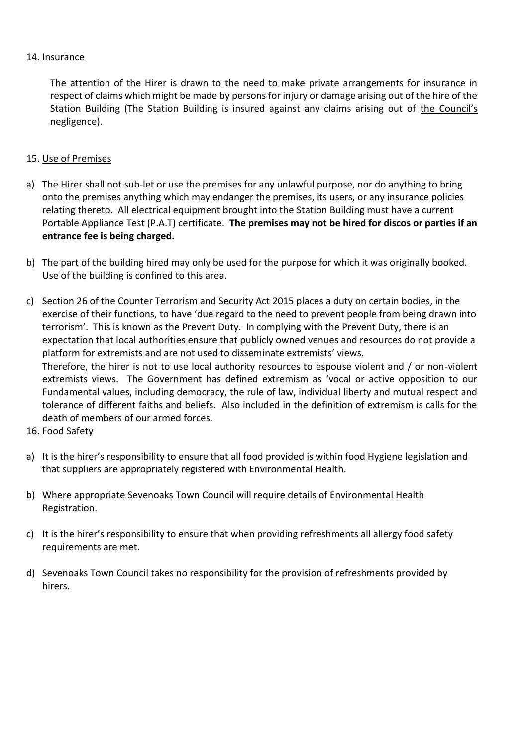#### 14. Insurance

The attention of the Hirer is drawn to the need to make private arrangements for insurance in respect of claims which might be made by persons for injury or damage arising out of the hire of the Station Building (The Station Building is insured against any claims arising out of the Council's negligence).

#### 15. Use of Premises

- a) The Hirer shall not sub-let or use the premises for any unlawful purpose, nor do anything to bring onto the premises anything which may endanger the premises, its users, or any insurance policies relating thereto. All electrical equipment brought into the Station Building must have a current Portable Appliance Test (P.A.T) certificate. **The premises may not be hired for discos or parties if an entrance fee is being charged.**
- b) The part of the building hired may only be used for the purpose for which it was originally booked. Use of the building is confined to this area.
- c) Section 26 of the Counter Terrorism and Security Act 2015 places a duty on certain bodies, in the exercise of their functions, to have 'due regard to the need to prevent people from being drawn into terrorism'. This is known as the Prevent Duty. In complying with the Prevent Duty, there is an expectation that local authorities ensure that publicly owned venues and resources do not provide a platform for extremists and are not used to disseminate extremists' views. Therefore, the hirer is not to use local authority resources to espouse violent and / or non-violent extremists views. The Government has defined extremism as 'vocal or active opposition to our Fundamental values, including democracy, the rule of law, individual liberty and mutual respect and tolerance of different faiths and beliefs. Also included in the definition of extremism is calls for the death of members of our armed forces.
- 16. Food Safety
- a) It is the hirer's responsibility to ensure that all food provided is within food Hygiene legislation and that suppliers are appropriately registered with Environmental Health.
- b) Where appropriate Sevenoaks Town Council will require details of Environmental Health Registration.
- c) It is the hirer's responsibility to ensure that when providing refreshments all allergy food safety requirements are met.
- d) Sevenoaks Town Council takes no responsibility for the provision of refreshments provided by hirers.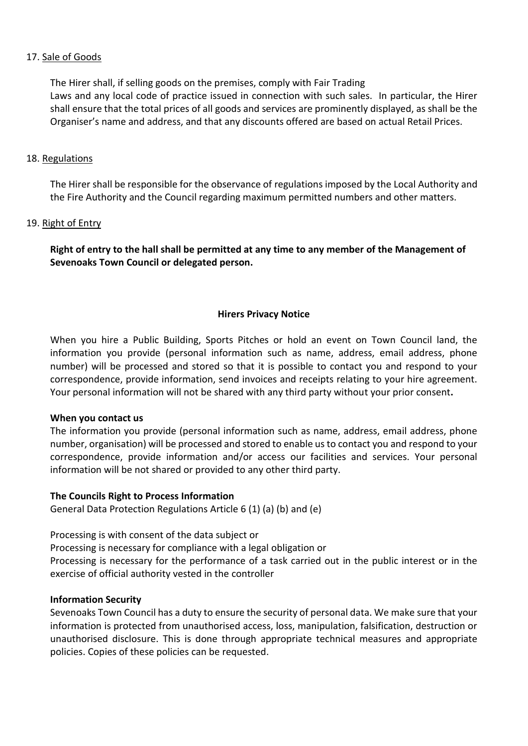#### 17. Sale of Goods

The Hirer shall, if selling goods on the premises, comply with Fair Trading Laws and any local code of practice issued in connection with such sales. In particular, the Hirer shall ensure that the total prices of all goods and services are prominently displayed, as shall be the Organiser's name and address, and that any discounts offered are based on actual Retail Prices.

#### 18. Regulations

The Hirer shall be responsible for the observance of regulations imposed by the Local Authority and the Fire Authority and the Council regarding maximum permitted numbers and other matters.

#### 19. Right of Entry

**Right of entry to the hall shall be permitted at any time to any member of the Management of Sevenoaks Town Council or delegated person.**

#### **Hirers Privacy Notice**

When you hire a Public Building, Sports Pitches or hold an event on Town Council land, the information you provide (personal information such as name, address, email address, phone number) will be processed and stored so that it is possible to contact you and respond to your correspondence, provide information, send invoices and receipts relating to your hire agreement. Your personal information will not be shared with any third party without your prior consent**.**

#### **When you contact us**

The information you provide (personal information such as name, address, email address, phone number, organisation) will be processed and stored to enable us to contact you and respond to your correspondence, provide information and/or access our facilities and services. Your personal information will be not shared or provided to any other third party.

#### **The Councils Right to Process Information**

General Data Protection Regulations Article 6 (1) (a) (b) and (e)

Processing is with consent of the data subject or

Processing is necessary for compliance with a legal obligation or

Processing is necessary for the performance of a task carried out in the public interest or in the exercise of official authority vested in the controller

#### **Information Security**

Sevenoaks Town Council has a duty to ensure the security of personal data. We make sure that your information is protected from unauthorised access, loss, manipulation, falsification, destruction or unauthorised disclosure. This is done through appropriate technical measures and appropriate policies. Copies of these policies can be requested.